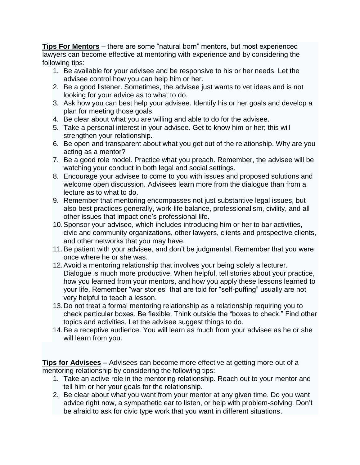**Tips For Mentors** – there are some "natural born" mentors, but most experienced lawyers can become effective at mentoring with experience and by considering the following tips:

- 1. Be available for your advisee and be responsive to his or her needs. Let the advisee control how you can help him or her.
- 2. Be a good listener. Sometimes, the advisee just wants to vet ideas and is not looking for your advice as to what to do.
- 3. Ask how you can best help your advisee. Identify his or her goals and develop a plan for meeting those goals.
- 4. Be clear about what you are willing and able to do for the advisee.
- 5. Take a personal interest in your advisee. Get to know him or her; this will strengthen your relationship.
- 6. Be open and transparent about what you get out of the relationship. Why are you acting as a mentor?
- 7. Be a good role model. Practice what you preach. Remember, the advisee will be watching your conduct in both legal and social settings.
- 8. Encourage your advisee to come to you with issues and proposed solutions and welcome open discussion. Advisees learn more from the dialogue than from a lecture as to what to do.
- 9. Remember that mentoring encompasses not just substantive legal issues, but also best practices generally, work-life balance, professionalism, civility, and all other issues that impact one's professional life.
- 10.Sponsor your advisee, which includes introducing him or her to bar activities, civic and community organizations, other lawyers, clients and prospective clients, and other networks that you may have.
- 11.Be patient with your advisee, and don't be judgmental. Remember that you were once where he or she was.
- 12.Avoid a mentoring relationship that involves your being solely a lecturer. Dialogue is much more productive. When helpful, tell stories about your practice, how you learned from your mentors, and how you apply these lessons learned to your life. Remember "war stories" that are told for "self-puffing" usually are not very helpful to teach a lesson.
- 13.Do not treat a formal mentoring relationship as a relationship requiring you to check particular boxes. Be flexible. Think outside the "boxes to check." Find other topics and activities. Let the advisee suggest things to do.
- 14.Be a receptive audience. You will learn as much from your advisee as he or she will learn from you.

**Tips for Advisees –** Advisees can become more effective at getting more out of a mentoring relationship by considering the following tips:

- 1. Take an active role in the mentoring relationship. Reach out to your mentor and tell him or her your goals for the relationship.
- 2. Be clear about what you want from your mentor at any given time. Do you want advice right now, a sympathetic ear to listen, or help with problem-solving. Don't be afraid to ask for civic type work that you want in different situations.